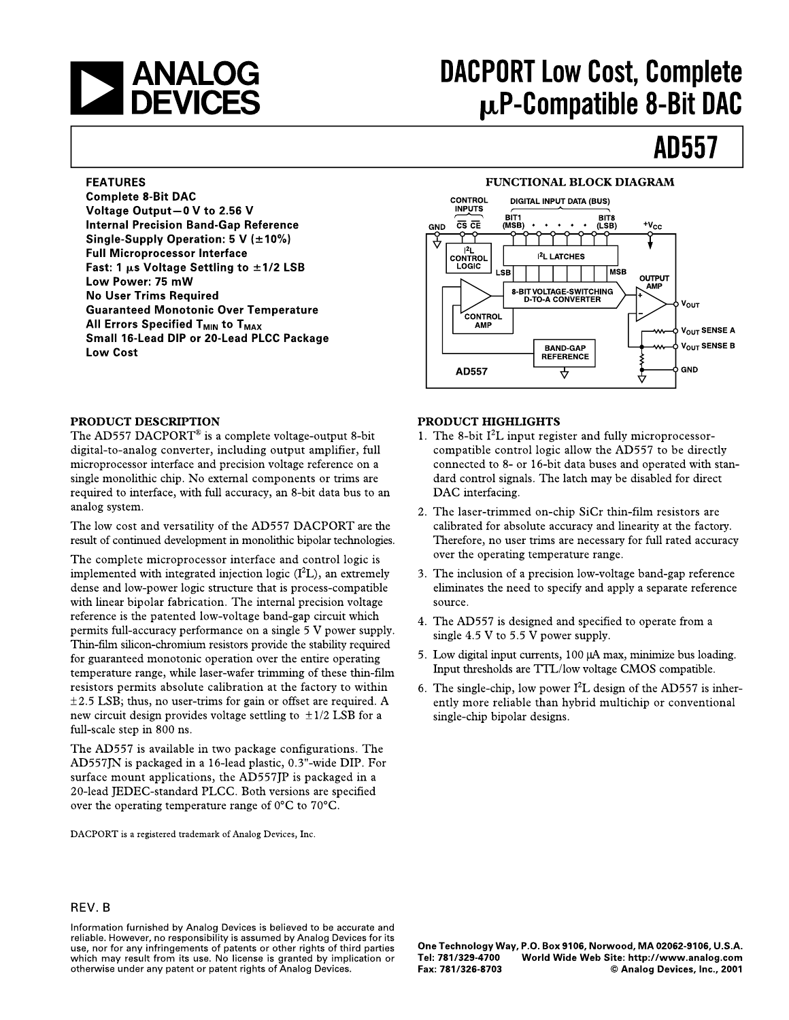# **SANALOG**<br>DEVICES

## **DACPORT Low Cost, Complete** p.P-Compatible 8-Bit DAC

### **AD557**

#### **FEATURES**

**Complete 8-Bit DAC** Voltage Output-0 V to 2.56 V **Internal Precision Band-Gap Reference** Single-Supply Operation: 5 V ( $\pm$ 10%) **Full Microprocessor Interface** Fast: 1  $\mu$ s Voltage Settling to  $\pm$ 1/2 LSB Low Power: 75 mW **No User Trims Required Guaranteed Monotonic Over Temperature** All Errors Specified T<sub>MIN</sub> to T<sub>MAX</sub> Small 16-Lead DIP or 20-Lead PLCC Package **Low Cost** 

#### PRODUCT DESCRIPTION

The AD557 DACPORT<sup>®</sup> is a complete voltage-output 8-bit digital-to-analog converter, including output amplifier, full microprocessor interface and precision voltage reference on a single monolithic chip. No external components or trims are required to interface, with full accuracy, an 8-bit data bus to an analog system.

The low cost and versatility of the AD557 DACPORT are the result of continued development in monolithic bipolar technologies.

The complete microprocessor interface and control logic is implemented with integrated injection logic  $(I<sup>2</sup>L)$ , an extremely dense and low-power logic structure that is process-compatible with linear bipolar fabrication. The internal precision voltage reference is the patented low-voltage band-gap circuit which permits full-accuracy performance on a single 5 V power supply. Thin-film silicon-chromium resistors provide the stability required for guaranteed monotonic operation over the entire operating temperature range, while laser-wafer trimming of these thin-film resistors permits absolute calibration at the factory to within  $\pm$  2.5 LSB; thus, no user-trims for gain or offset are required. A new circuit design provides voltage settling to  $\pm 1/2$  LSB for a full-scale step in 800 ns.

The AD557 is available in two package configurations. The AD557JN is packaged in a 16-lead plastic, 0.3"-wide DIP. For surface mount applications, the AD557JP is packaged in a 20-lead JEDEC-standard PLCC. Both versions are specified over the operating temperature range of  $0^{\circ}$ C to  $70^{\circ}$ C.

DACPORT is a registered trademark of Analog Devices, Inc.

#### **FUNCTIONAL BLOCK DIAGRAM**



#### PRODUCT HIGHLIGHTS

- 1. The 8-bit  $I<sup>2</sup>L$  input register and fully microprocessorcompatible control logic allow the AD557 to be directly connected to 8- or 16-bit data buses and operated with standard control signals. The latch may be disabled for direct DAC interfacing.
- 2. The laser-trimmed on-chip SiCr thin-film resistors are calibrated for absolute accuracy and linearity at the factory. Therefore, no user trims are necessary for full rated accuracy over the operating temperature range.
- 3. The inclusion of a precision low-voltage band-gap reference eliminates the need to specify and apply a separate reference source.
- 4. The AD557 is designed and specified to operate from a single 4.5 V to 5.5 V power supply.
- 5. Low digital input currents, 100 µA max, minimize bus loading. Input thresholds are TTL/low voltage CMOS compatible.
- 6. The single-chip, low power  $I^2L$  design of the AD557 is inherently more reliable than hybrid multichip or conventional single-chip bipolar designs.

Information furnished by Analog Devices is believed to be accurate and reliable. However, no responsibility is assumed by Analog Devices for its use, nor for any infringements of patents or other rights of third parties which may result from its use. No license is granted by implication or otherwise under any patent or patent rights of Analog Devices.

One Technology Way, P.O. Box 9106, Norwood, MA 02062-9106, U.S.A. World Wide Web Site: http://www.analog.com Tel: 781/329-4700 Fax: 781/326-8703 © Analog Devices, Inc., 2001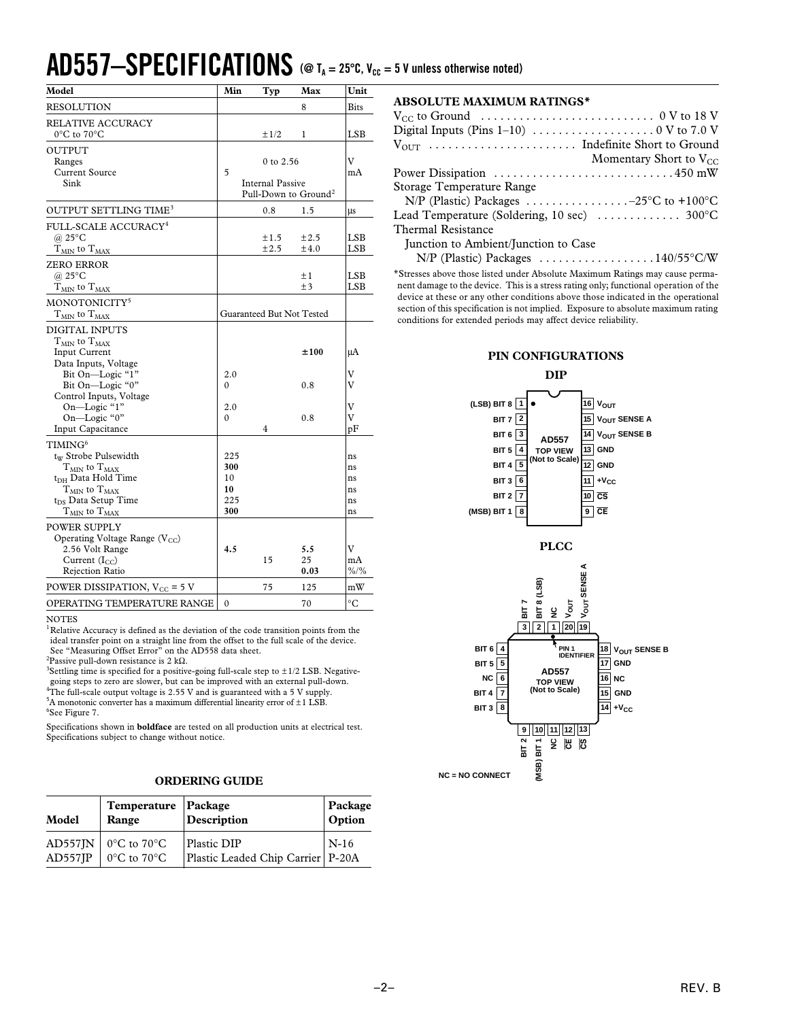### $AD557-SPECIFICATIONS$  ( $@$  T<sub>A</sub> = 25°C,  $V_{cc}$  = 5 V unless otherwise noted)

| <b>RESOLUTION</b><br><b>Bits</b><br>8<br><b>RELATIVE ACCURACY</b><br>$0^{\circ}$ C to $70^{\circ}$ C<br>±1/2<br>LSB<br>1<br><b>OUTPUT</b><br>v<br>Ranges<br>0 to 2.56<br>Current Source<br>5<br>mA<br>Internal Passive<br>Sink<br>Pull-Down to Ground <sup>2</sup><br>OUTPUT SETTLING TIME <sup>3</sup><br>0.8<br>1.5<br>μs<br>FULL-SCALE ACCURACY <sup>4</sup><br>@ $25^{\circ}$ C<br><b>LSB</b><br>±1.5<br>$\pm 2.5$<br>LSB<br>$T_{MIN}$ to $T_{MAX}$<br>±2.5<br>$\pm 4.0$<br><b>ZERO ERROR</b><br>@ $25^{\circ}$ C<br>$\pm 1$<br>LSB<br>$+3$<br>LSB<br>$T_{\rm MIN}$ to $T_{\rm MAX}$<br>MONOTONICITY <sup>5</sup><br>Guaranteed But Not Tested<br>${\rm T_{MIN}}$ to ${\rm T_{MAX}}$ | Model | Min | Typ | Max | Unit |
|------------------------------------------------------------------------------------------------------------------------------------------------------------------------------------------------------------------------------------------------------------------------------------------------------------------------------------------------------------------------------------------------------------------------------------------------------------------------------------------------------------------------------------------------------------------------------------------------------------------------------------------------------------------------------------------|-------|-----|-----|-----|------|
|                                                                                                                                                                                                                                                                                                                                                                                                                                                                                                                                                                                                                                                                                          |       |     |     |     |      |
|                                                                                                                                                                                                                                                                                                                                                                                                                                                                                                                                                                                                                                                                                          |       |     |     |     |      |
|                                                                                                                                                                                                                                                                                                                                                                                                                                                                                                                                                                                                                                                                                          |       |     |     |     |      |
|                                                                                                                                                                                                                                                                                                                                                                                                                                                                                                                                                                                                                                                                                          |       |     |     |     |      |
|                                                                                                                                                                                                                                                                                                                                                                                                                                                                                                                                                                                                                                                                                          |       |     |     |     |      |
|                                                                                                                                                                                                                                                                                                                                                                                                                                                                                                                                                                                                                                                                                          |       |     |     |     |      |
|                                                                                                                                                                                                                                                                                                                                                                                                                                                                                                                                                                                                                                                                                          |       |     |     |     |      |
|                                                                                                                                                                                                                                                                                                                                                                                                                                                                                                                                                                                                                                                                                          |       |     |     |     |      |
|                                                                                                                                                                                                                                                                                                                                                                                                                                                                                                                                                                                                                                                                                          |       |     |     |     |      |
|                                                                                                                                                                                                                                                                                                                                                                                                                                                                                                                                                                                                                                                                                          |       |     |     |     |      |
|                                                                                                                                                                                                                                                                                                                                                                                                                                                                                                                                                                                                                                                                                          |       |     |     |     |      |
|                                                                                                                                                                                                                                                                                                                                                                                                                                                                                                                                                                                                                                                                                          |       |     |     |     |      |
|                                                                                                                                                                                                                                                                                                                                                                                                                                                                                                                                                                                                                                                                                          |       |     |     |     |      |
|                                                                                                                                                                                                                                                                                                                                                                                                                                                                                                                                                                                                                                                                                          |       |     |     |     |      |
|                                                                                                                                                                                                                                                                                                                                                                                                                                                                                                                                                                                                                                                                                          |       |     |     |     |      |
|                                                                                                                                                                                                                                                                                                                                                                                                                                                                                                                                                                                                                                                                                          |       |     |     |     |      |
|                                                                                                                                                                                                                                                                                                                                                                                                                                                                                                                                                                                                                                                                                          |       |     |     |     |      |
| <b>DIGITAL INPUTS</b>                                                                                                                                                                                                                                                                                                                                                                                                                                                                                                                                                                                                                                                                    |       |     |     |     |      |
| $T_{MIN}$ to $T_{MAX}$                                                                                                                                                                                                                                                                                                                                                                                                                                                                                                                                                                                                                                                                   |       |     |     |     |      |
| Input Current<br>±100<br>μA                                                                                                                                                                                                                                                                                                                                                                                                                                                                                                                                                                                                                                                              |       |     |     |     |      |
| Data Inputs, Voltage                                                                                                                                                                                                                                                                                                                                                                                                                                                                                                                                                                                                                                                                     |       |     |     |     |      |
| Bit On-Logic "1"<br>v<br>2.0                                                                                                                                                                                                                                                                                                                                                                                                                                                                                                                                                                                                                                                             |       |     |     |     |      |
| Bit On-Logic "0"<br>V<br>0.8<br>0                                                                                                                                                                                                                                                                                                                                                                                                                                                                                                                                                                                                                                                        |       |     |     |     |      |
| Control Inputs, Voltage                                                                                                                                                                                                                                                                                                                                                                                                                                                                                                                                                                                                                                                                  |       |     |     |     |      |
| V<br>On-Logic "1"<br>2.0                                                                                                                                                                                                                                                                                                                                                                                                                                                                                                                                                                                                                                                                 |       |     |     |     |      |
| v<br>On-Logic "0"<br>0.8<br>$\theta$                                                                                                                                                                                                                                                                                                                                                                                                                                                                                                                                                                                                                                                     |       |     |     |     |      |
| <b>Input Capacitance</b><br>4<br>pF                                                                                                                                                                                                                                                                                                                                                                                                                                                                                                                                                                                                                                                      |       |     |     |     |      |
| $\mathrm{TIMING}^6$                                                                                                                                                                                                                                                                                                                                                                                                                                                                                                                                                                                                                                                                      |       |     |     |     |      |
| tw Strobe Pulsewidth<br>225<br>ns                                                                                                                                                                                                                                                                                                                                                                                                                                                                                                                                                                                                                                                        |       |     |     |     |      |
| $T_{MIN}$ to $T_{MAX}$<br>300<br>ns                                                                                                                                                                                                                                                                                                                                                                                                                                                                                                                                                                                                                                                      |       |     |     |     |      |
| t <sub>DH</sub> Data Hold Time<br>10<br>ns                                                                                                                                                                                                                                                                                                                                                                                                                                                                                                                                                                                                                                               |       |     |     |     |      |
| ${\rm T_{MIN}}$ to ${\rm T_{MAX}}$<br>10<br>ns                                                                                                                                                                                                                                                                                                                                                                                                                                                                                                                                                                                                                                           |       |     |     |     |      |
| $t_{DS}$ Data Setup Time<br>225<br>ns                                                                                                                                                                                                                                                                                                                                                                                                                                                                                                                                                                                                                                                    |       |     |     |     |      |
| 300<br>${\rm T_{MIN}}$ to ${\rm T_{MAX}}$<br>ns                                                                                                                                                                                                                                                                                                                                                                                                                                                                                                                                                                                                                                          |       |     |     |     |      |
| POWER SUPPLY                                                                                                                                                                                                                                                                                                                                                                                                                                                                                                                                                                                                                                                                             |       |     |     |     |      |
| Operating Voltage Range $(V_{CC})$                                                                                                                                                                                                                                                                                                                                                                                                                                                                                                                                                                                                                                                       |       |     |     |     |      |
| V<br>4.5<br>2.56 Volt Range<br>5.5                                                                                                                                                                                                                                                                                                                                                                                                                                                                                                                                                                                                                                                       |       |     |     |     |      |
| Current $(I_{CC})$<br>15<br>25<br>mA                                                                                                                                                                                                                                                                                                                                                                                                                                                                                                                                                                                                                                                     |       |     |     |     |      |
| $\frac{9}{6}$<br>Rejection Ratio<br>0.03                                                                                                                                                                                                                                                                                                                                                                                                                                                                                                                                                                                                                                                 |       |     |     |     |      |
| POWER DISSIPATION, $V_{CC}$ = 5 V<br>75<br>125<br>mW                                                                                                                                                                                                                                                                                                                                                                                                                                                                                                                                                                                                                                     |       |     |     |     |      |
| °C<br>OPERATING TEMPERATURE RANGE<br>$\theta$<br>70                                                                                                                                                                                                                                                                                                                                                                                                                                                                                                                                                                                                                                      |       |     |     |     |      |

NOTES

 ${}^{1}$ Relative Accuracy is defined as the deviation of the code transition points from the ideal transfer point on a straight line from the offset to the full scale of the device. See "Measuring Offset Error" on the AD558 data sheet.

<sup>2</sup>Passive pull-down resistance is 2 kΩ.

<sup>3</sup>Settling time is specified for a positive-going full-scale step to  $\pm$ 1/2 LSB. Negativegoing steps to zero are slower, but can be improved with an external pull-down. 4 The full-scale output voltage is 2.55 V and is guaranteed with a 5 V supply.  $5A$  monotonic converter has a maximum differential linearity error of  $\pm 1$  LSB. 6 See Figure 7.

Specifications shown in **boldface** are tested on all production units at electrical test. Specifications subject to change without notice.

#### **ORDERING GUIDE**

| Model | Temperature Package<br>Range                                                    | Description                                        | Package<br>Option |
|-------|---------------------------------------------------------------------------------|----------------------------------------------------|-------------------|
|       | AD557JN   $0^{\circ}$ C to 70 $^{\circ}$ C<br>AD557JP $\int 0^{\circ}C$ to 70°C | Plastic DIP<br>Plastic Leaded Chip Carrier   P-20A | $\vert$ N-16      |

| <b>ABSOLUTE MAXIMUM RATINGS*</b>                                                                               |
|----------------------------------------------------------------------------------------------------------------|
| $V_{CC}$ to Ground $\ldots \ldots \ldots \ldots \ldots \ldots \ldots \ldots \ldots \ldots \quad 0 \,V$ to 18 V |
|                                                                                                                |
|                                                                                                                |
| Momentary Short to $V_{CC}$                                                                                    |
|                                                                                                                |
| Storage Temperature Range                                                                                      |
| N/P (Plastic) Packages $\dots \dots \dots \dots \dots -25$ °C to +100°C                                        |
| Lead Temperature (Soldering, 10 sec)  300°C                                                                    |
| <b>Thermal Resistance</b>                                                                                      |
| Junction to Ambient/Junction to Case                                                                           |
| $N/P$ (Plastic) Packages 140/55°C/W                                                                            |

\*Stresses above those listed under Absolute Maximum Ratings may cause permanent damage to the device. This is a stress rating only; functional operation of the device at these or any other conditions above those indicated in the operational section of this specification is not implied. Exposure to absolute maximum rating conditions for extended periods may affect device reliability.

#### **PIN CONFIGURATIONS**

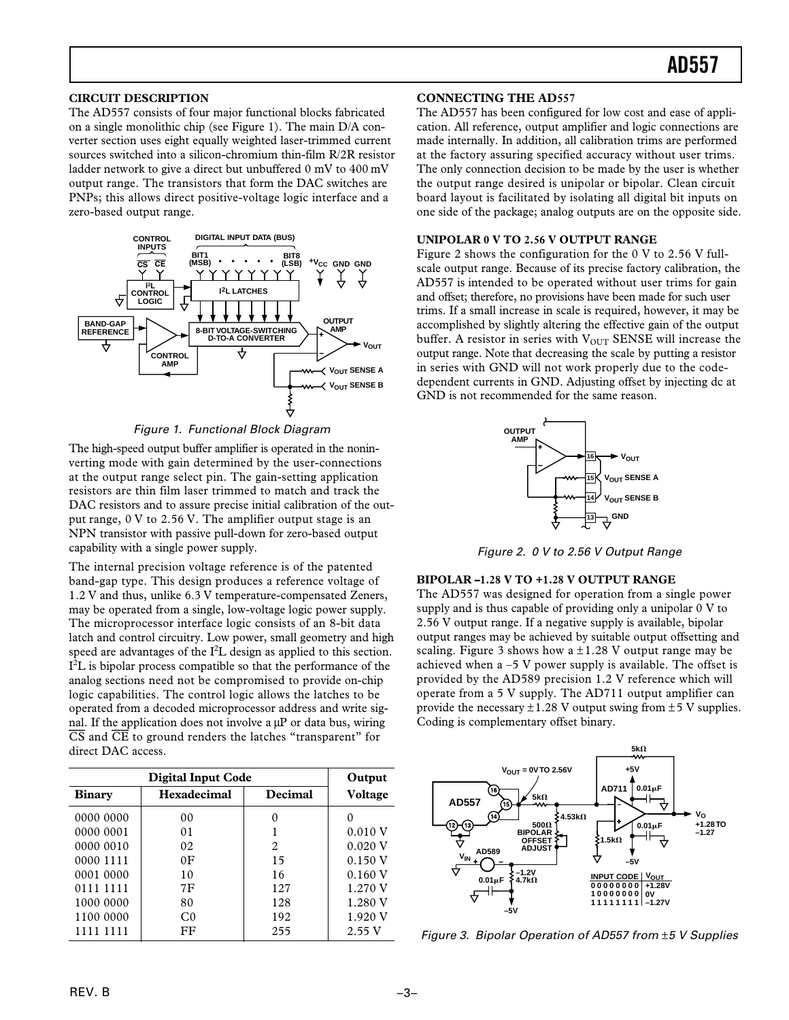#### **CIRCUIT DESCRIPTION**

The AD557 consists of four major functional blocks fabricated on a single monolithic chip (see Figure 1). The main D/A converter section uses eight equally weighted laser-trimmed current sources switched into a silicon-chromium thin-film R/2R resistor ladder network to give a direct but unbuffered 0 mV to 400 mV output range. The transistors that form the DAC switches are PNPs; this allows direct positive-voltage logic interface and a zero-based output range.



Figure 1. Functional Block Diagram

The high-speed output buffer amplifier is operated in the noninverting mode with gain determined by the user-connections at the output range select pin. The gain-setting application resistors are thin film laser trimmed to match and track the DAC resistors and to assure precise initial calibration of the output range, 0 V to 2.56 V. The amplifier output stage is an NPN transistor with passive pull-down for zero-based output capability with a single power supply.

The internal precision voltage reference is of the patented band-gap type. This design produces a reference voltage of 1.2 V and thus, unlike 6.3 V temperature-compensated Zeners, may be operated from a single, low-voltage logic power supply. The microprocessor interface logic consists of an 8-bit data latch and control circuitry. Low power, small geometry and high speed are advantages of the  $I^2L$  design as applied to this section.  $I<sup>2</sup>L$  is bipolar process compatible so that the performance of the analog sections need not be compromised to provide on-chip logic capabilities. The control logic allows the latches to be operated from a decoded microprocessor address and write signal. If the application does not involve a  $\mu$ P or data bus, wiring *CS* and *CE* to ground renders the latches "transparent" for direct DAC access.

|               | Output         |         |         |
|---------------|----------------|---------|---------|
| <b>Binary</b> | Hexadecimal    | Decimal | Voltage |
| 0000 0000     | 0 <sub>0</sub> |         | $_{0}$  |
| 0000 0001     | 0 <sub>1</sub> |         | 0.010 V |
| 0000 0010     | 02             | 2       | 0.020 V |
| 0000 1111     | 0 <sub>F</sub> | 15      | 0.150V  |
| 0001 0000     | 10             | 16      | 0.160V  |
| 0111 1111     | 7F             | 127     | 1.270 V |
| 1000 0000     | 80             | 128     | 1.280 V |
| 1100 0000     | C <sub>0</sub> | 192     | 1.920 V |
| 1111 1111     | FF             | 255     | 2.55V   |

#### **CONNECTING THE AD557**

The AD557 has been configured for low cost and ease of application. All reference, output amplifier and logic connections are made internally. In addition, all calibration trims are performed at the factory assuring specified accuracy without user trims. The only connection decision to be made by the user is whether the output range desired is unipolar or bipolar. Clean circuit board layout is facilitated by isolating all digital bit inputs on one side of the package; analog outputs are on the opposite side.

#### **UNIPOLAR 0 V TO 2.56 V OUTPUT RANGE**

Figure 2 shows the configuration for the 0 V to 2.56 V fullscale output range. Because of its precise factory calibration, the AD557 is intended to be operated without user trims for gain and offset; therefore, no provisions have been made for such user trims. If a small increase in scale is required, however, it may be accomplished by slightly altering the effective gain of the output buffer. A resistor in series with  $V_{\text{OUT}}$  SENSE will increase the output range. Note that decreasing the scale by putting a resistor in series with GND will not work properly due to the codedependent currents in GND. Adjusting offset by injecting dc at GND is not recommended for the same reason.



Figure 2. 0 V to 2.56 V Output Range

#### **BIPOLAR –1.28 V TO +1.28 V OUTPUT RANGE**

The AD557 was designed for operation from a single power supply and is thus capable of providing only a unipolar 0 V to 2.56 V output range. If a negative supply is available, bipolar output ranges may be achieved by suitable output offsetting and scaling. Figure 3 shows how a  $\pm 1.28$  V output range may be achieved when  $a -5$  V power supply is available. The offset is provided by the AD589 precision 1.2 V reference which will operate from a 5 V supply. The AD711 output amplifier can provide the necessary  $\pm 1.28$  V output swing from  $\pm 5$  V supplies. Coding is complementary offset binary.



Figure 3. Bipolar Operation of AD557 from ±5 V Supplies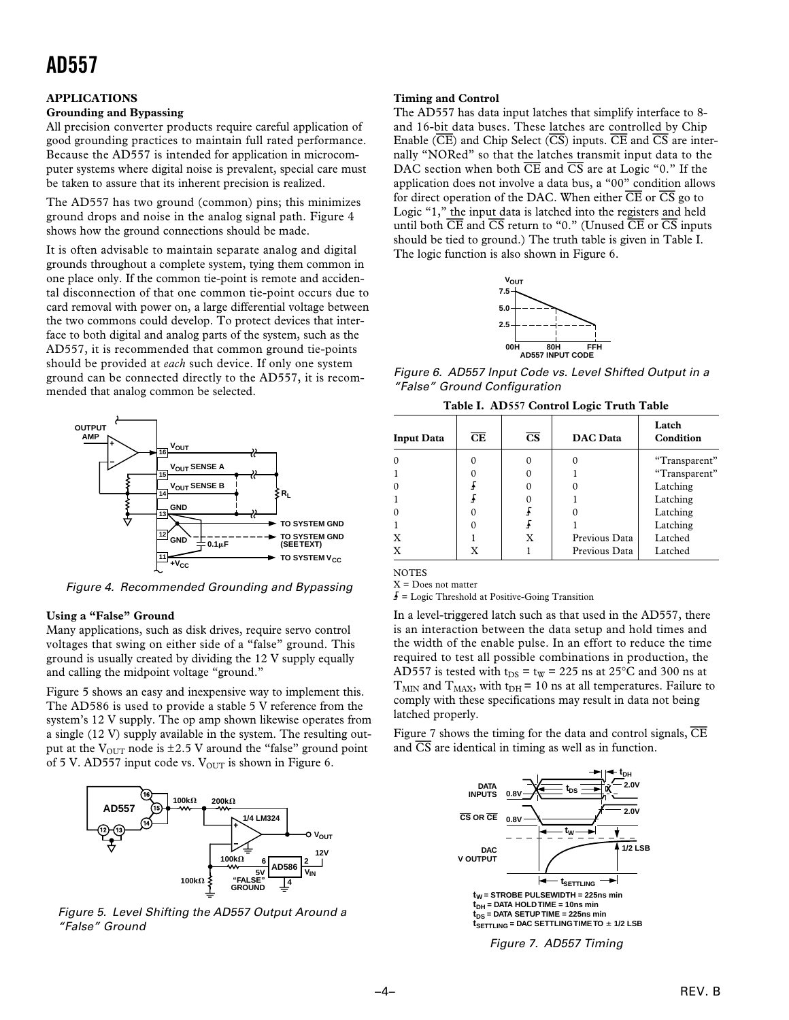### **AD557**

#### **APPLICATIONS**

#### **Grounding and Bypassing**

All precision converter products require careful application of good grounding practices to maintain full rated performance. Because the AD557 is intended for application in microcomputer systems where digital noise is prevalent, special care must be taken to assure that its inherent precision is realized.

The AD557 has two ground (common) pins; this minimizes ground drops and noise in the analog signal path. Figure 4 shows how the ground connections should be made.

It is often advisable to maintain separate analog and digital grounds throughout a complete system, tying them common in one place only. If the common tie-point is remote and accidental disconnection of that one common tie-point occurs due to card removal with power on, a large differential voltage between the two commons could develop. To protect devices that interface to both digital and analog parts of the system, such as the AD557, it is recommended that common ground tie-points should be provided at *each* such device. If only one system ground can be connected directly to the AD557, it is recommended that analog common be selected.



Figure 4. Recommended Grounding and Bypassing

#### **Using a "False" Ground**

Many applications, such as disk drives, require servo control voltages that swing on either side of a "false" ground. This ground is usually created by dividing the 12 V supply equally and calling the midpoint voltage "ground."

Figure 5 shows an easy and inexpensive way to implement this. The AD586 is used to provide a stable 5 V reference from the system's 12 V supply. The op amp shown likewise operates from a single (12 V) supply available in the system. The resulting output at the  $V_{OUT}$  node is  $\pm 2.5$  V around the "false" ground point of 5 V. AD557 input code vs.  $V_{OUT}$  is shown in Figure 6.



Figure 5. Level Shifting the AD557 Output Around a "False" Ground

#### **Timing and Control**

The AD557 has data input latches that simplify interface to 8 and 16-bit data buses. These latches are controlled by Chip Enable (*CE*) and Chip Select (*CS*) inputs. *CE* and *CS* are internally "NORed" so that the latches transmit input data to the DAC section when both *CE* and *CS* are at Logic "0." If the application does not involve a data bus, a "00" condition allows for direct operation of the DAC. When either *CE* or *CS* go to Logic "1," the input data is latched into the registers and held until both *CE* and *CS* return to "0." (Unused *CE* or *CS* inputs should be tied to ground.) The truth table is given in Table I. The logic function is also shown in Figure 6.



Figure 6. AD557 Input Code vs. Level Shifted Output in a "False" Ground Configuration

| <b>Input Data</b> | $\overline{\text{CE}}$ | $\overline{\text{CS}}$ | <b>DAC</b> Data | Latch<br>Condition |
|-------------------|------------------------|------------------------|-----------------|--------------------|
|                   |                        |                        |                 | "Transparent"      |
|                   |                        |                        |                 | "Transparent"      |
|                   |                        |                        |                 | Latching           |
|                   |                        |                        |                 | Latching           |
|                   |                        |                        |                 | Latching           |
|                   |                        |                        |                 | Latching           |
| X                 |                        | X                      | Previous Data   | Latched            |
|                   |                        |                        | Previous Data   | Latched            |

**NOTES** 

 $X =$  Does not matter

 $\overline{f}$  = Logic Threshold at Positive-Going Transition

In a level-triggered latch such as that used in the AD557, there is an interaction between the data setup and hold times and the width of the enable pulse. In an effort to reduce the time required to test all possible combinations in production, the AD557 is tested with  $t_{DS} = t_W = 225$  ns at 25°C and 300 ns at  $T<sub>MIN</sub>$  and  $T<sub>MAX</sub>$ , with t<sub>DH</sub> = 10 ns at all temperatures. Failure to comply with these specifications may result in data not being latched properly.

Figure 7 shows the timing for the data and control signals, *CE* and *CS* are identical in timing as well as in function.



Figure 7. AD557 Timing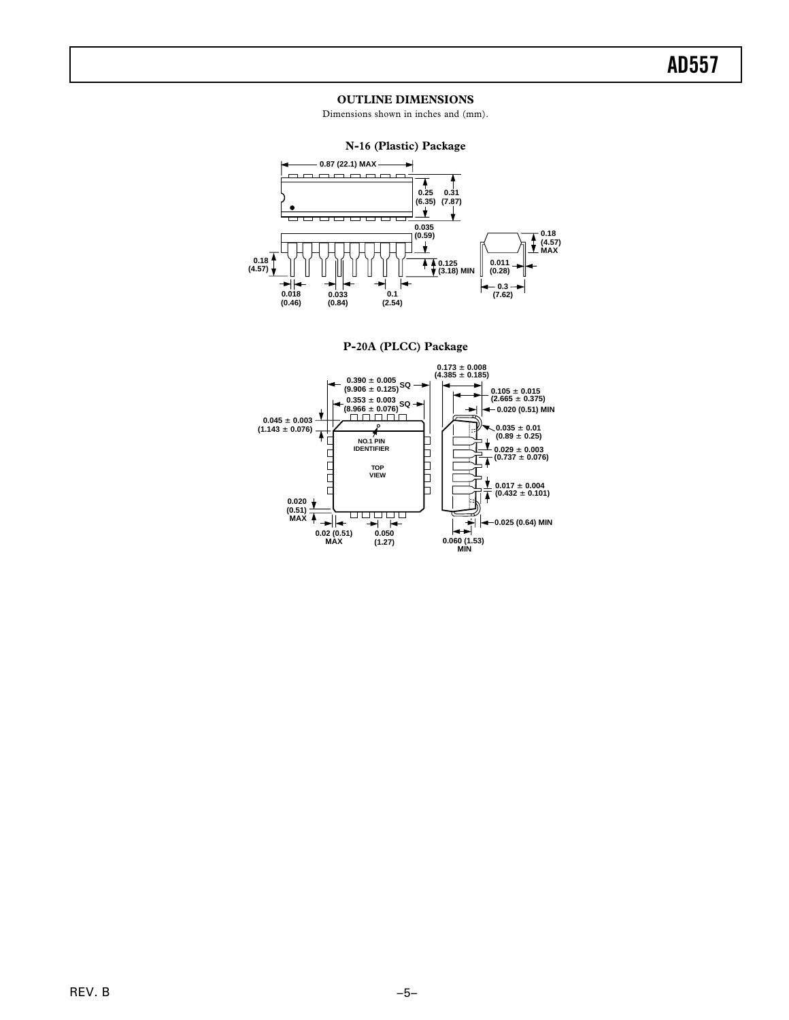#### **OUTLINE DIMENSIONS**

Dimensions shown in inches and (mm).



**P-20A (PLCC) Package**